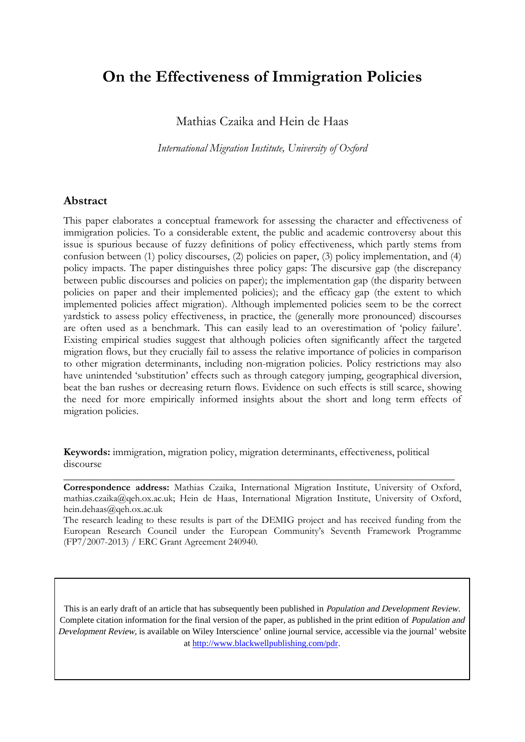# **On the Effectiveness of Immigration Policies**

Mathias Czaika and Hein de Haas

*International Migration Institute, University of Oxford*

#### **Abstract**

This paper elaborates a conceptual framework for assessing the character and effectiveness of immigration policies. To a considerable extent, the public and academic controversy about this issue is spurious because of fuzzy definitions of policy effectiveness, which partly stems from confusion between (1) policy discourses, (2) policies on paper, (3) policy implementation, and (4) policy impacts. The paper distinguishes three policy gaps: The discursive gap (the discrepancy between public discourses and policies on paper); the implementation gap (the disparity between policies on paper and their implemented policies); and the efficacy gap (the extent to which implemented policies affect migration). Although implemented policies seem to be the correct yardstick to assess policy effectiveness, in practice, the (generally more pronounced) discourses are often used as a benchmark. This can easily lead to an overestimation of 'policy failure'. Existing empirical studies suggest that although policies often significantly affect the targeted migration flows, but they crucially fail to assess the relative importance of policies in comparison to other migration determinants, including non-migration policies. Policy restrictions may also have unintended 'substitution' effects such as through category jumping, geographical diversion, beat the ban rushes or decreasing return flows. Evidence on such effects is still scarce, showing the need for more empirically informed insights about the short and long term effects of migration policies.

**Keywords:** immigration, migration policy, migration determinants, effectiveness, political discourse

**Correspondence address:** Mathias Czaika, International Migration Institute, University of Oxford, mathias.czaika@qeh.ox.ac.uk; Hein de Haas, International Migration Institute, University of Oxford, [hein.dehaas@qeh.ox.ac.uk](mailto:hein.dehaas@qeh.ox.ac.uk)

\_\_\_\_\_\_\_\_\_\_\_\_\_\_\_\_\_\_\_\_\_\_\_\_\_\_\_\_\_\_\_\_\_\_\_\_\_\_\_\_\_\_\_\_\_\_\_\_\_\_\_\_\_\_\_\_\_\_\_\_\_\_\_\_\_\_\_\_\_\_\_\_\_\_

The research leading to these results is part of the DEMIG project and has received funding from the European Research Council under the European Community's Seventh Framework Programme (FP7/2007-2013) / ERC Grant Agreement 240940.

This is an early draft of an article that has subsequently been published in *Population and Development Review.* Complete citation information for the final version of the paper, as published in the print edition of Population and Development Review, is available on Wiley Interscience' online journal service, accessible via the journal' website at http://www.blackwellpublishing.com/pdr.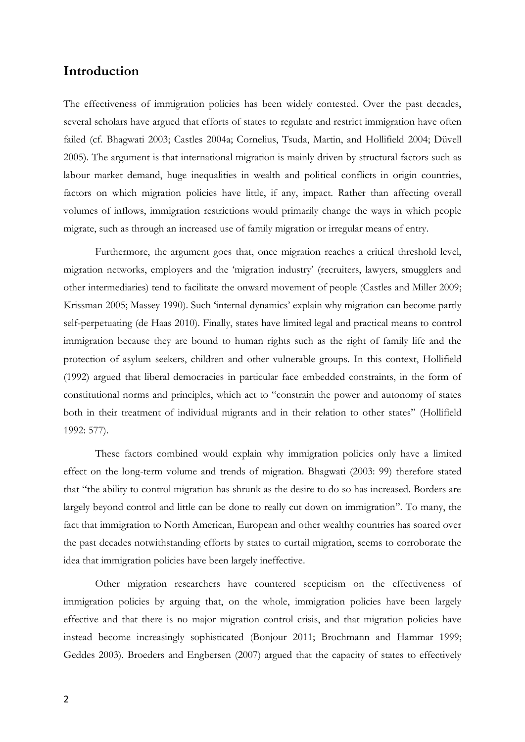## **Introduction**

The effectiveness of immigration policies has been widely contested. Over the past decades, several scholars have argued that efforts of states to regulate and restrict immigration have often failed (cf. [Bhagwati 2003;](#page-23-0) [Castles 2004a;](#page-23-1) [Cornelius, Tsuda, Martin, and Hollifield 2004;](#page-23-2) [Düvell](#page-23-3)  [2005\)](#page-23-3). The argument is that international migration is mainly driven by structural factors such as labour market demand, huge inequalities in wealth and political conflicts in origin countries, factors on which migration policies have little, if any, impact. Rather than affecting overall volumes of inflows, immigration restrictions would primarily change the ways in which people migrate, such as through an increased use of family migration or irregular means of entry.

Furthermore, the argument goes that, once migration reaches a critical threshold level, migration networks, employers and the 'migration industry' (recruiters, lawyers, smugglers and other intermediaries) tend to facilitate the onward movement of people [\(Castles and Miller 2009;](#page-23-4) [Krissman 2005;](#page-24-0) [Massey 1990\)](#page-24-1). Such 'internal dynamics' explain why migration can become partly self-perpetuating [\(de Haas 2010\)](#page-23-5). Finally, states have limited legal and practical means to control immigration because they are bound to human rights such as the right of family life and the protection of asylum seekers, children and other vulnerable groups. In this context, [Hollifield](#page-24-2)  [\(1992\)](#page-24-2) argued that liberal democracies in particular face embedded constraints, in the form of constitutional norms and principles, which act to "constrain the power and autonomy of states both in their treatment of individual migrants and in their relation to other states" [\(Hollifield](#page-24-2)  [1992: 577\)](#page-24-2).

These factors combined would explain why immigration policies only have a limited effect on the long-term volume and trends of migration. [Bhagwati \(2003: 99\)](#page-23-0) therefore stated that "the ability to control migration has shrunk as the desire to do so has increased. Borders are largely beyond control and little can be done to really cut down on immigration". To many, the fact that immigration to North American, European and other wealthy countries has soared over the past decades notwithstanding efforts by states to curtail migration, seems to corroborate the idea that immigration policies have been largely ineffective.

Other migration researchers have countered scepticism on the effectiveness of immigration policies by arguing that, on the whole, immigration policies have been largely effective and that there is no major migration control crisis, and that migration policies have instead become increasingly sophisticated [\(Bonjour 2011;](#page-23-6) [Brochmann and Hammar 1999;](#page-23-7) [Geddes 2003\)](#page-23-8). [Broeders and Engbersen \(2007\)](#page-23-9) argued that the capacity of states to effectively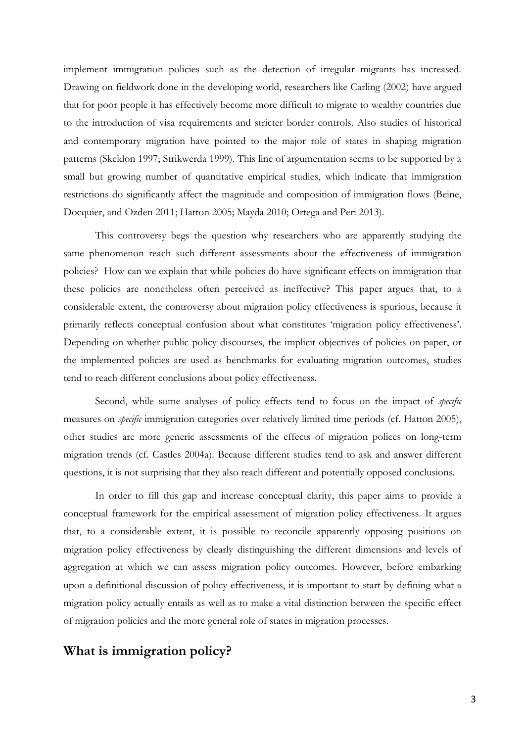implement immigration policies such as the detection of irregular migrants has increased. Drawing on fieldwork done in the developing world, researchers like Carling [\(2002\)](#page-23-10) have argued that for poor people it has effectively become more difficult to migrate to wealthy countries due to the introduction of visa requirements and stricter border controls. Also studies of historical and contemporary migration have pointed to the major role of states in shaping migration patterns [\(Skeldon 1997;](#page-25-0) [Strikwerda 1999\)](#page-25-1). This line of argumentation seems to be supported by a small but growing number of quantitative empirical studies, which indicate that immigration restrictions do significantly affect the magnitude and composition of immigration flows [\(Beine,](#page-23-11)  [Docquier, and Ozden 2011;](#page-23-11) [Hatton 2005;](#page-24-3) [Mayda 2010;](#page-24-4) [Ortega and Peri 2013\)](#page-24-5).

This controversy begs the question why researchers who are apparently studying the same phenomenon reach such different assessments about the effectiveness of immigration policies? How can we explain that while policies do have significant effects on immigration that these policies are nonetheless often perceived as ineffective? This paper argues that, to a considerable extent, the controversy about migration policy effectiveness is spurious, because it primarily reflects conceptual confusion about what constitutes 'migration policy effectiveness'. Depending on whether public policy discourses, the implicit objectives of policies on paper, or the implemented policies are used as benchmarks for evaluating migration outcomes, studies tend to reach different conclusions about policy effectiveness.

Second, while some analyses of policy effects tend to focus on the impact of *specific* measures on *specific* immigration categories over relatively limited time periods [\(cf. Hatton 2005\)](#page-24-3), other studies are more generic assessments of the effects of migration polices on long-term migration trends [\(cf. Castles 2004a\)](#page-23-1). Because different studies tend to ask and answer different questions, it is not surprising that they also reach different and potentially opposed conclusions.

In order to fill this gap and increase conceptual clarity, this paper aims to provide a conceptual framework for the empirical assessment of migration policy effectiveness. It argues that, to a considerable extent, it is possible to reconcile apparently opposing positions on migration policy effectiveness by clearly distinguishing the different dimensions and levels of aggregation at which we can assess migration policy outcomes. However, before embarking upon a definitional discussion of policy effectiveness, it is important to start by defining what a migration policy actually entails as well as to make a vital distinction between the specific effect of migration policies and the more general role of states in migration processes.

#### **What is immigration policy?**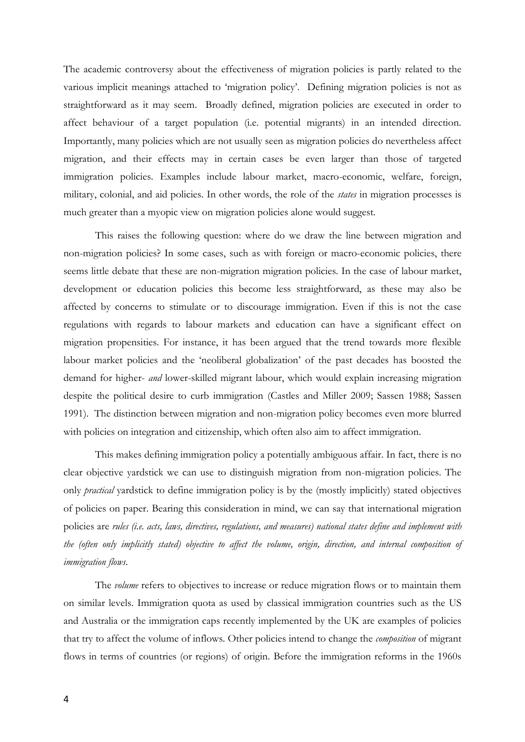The academic controversy about the effectiveness of migration policies is partly related to the various implicit meanings attached to 'migration policy'. Defining migration policies is not as straightforward as it may seem. Broadly defined, migration policies are executed in order to affect behaviour of a target population (i.e. potential migrants) in an intended direction. Importantly, many policies which are not usually seen as migration policies do nevertheless affect migration, and their effects may in certain cases be even larger than those of targeted immigration policies. Examples include labour market, macro-economic, welfare, foreign, military, colonial, and aid policies. In other words, the role of the *states* in migration processes is much greater than a myopic view on migration policies alone would suggest.

This raises the following question: where do we draw the line between migration and non-migration policies? In some cases, such as with foreign or macro-economic policies, there seems little debate that these are non-migration migration policies. In the case of labour market, development or education policies this become less straightforward, as these may also be affected by concerns to stimulate or to discourage immigration. Even if this is not the case regulations with regards to labour markets and education can have a significant effect on migration propensities. For instance, it has been argued that the trend towards more flexible labour market policies and the 'neoliberal globalization' of the past decades has boosted the demand for higher- *and* lower-skilled migrant labour, which would explain increasing migration despite the political desire to curb immigration [\(Castles and Miller 2009;](#page-23-4) [Sassen 1988;](#page-24-6) [Sassen](#page-24-7)  [1991\)](#page-24-7). The distinction between migration and non-migration policy becomes even more blurred with policies on integration and citizenship, which often also aim to affect immigration.

This makes defining immigration policy a potentially ambiguous affair. In fact, there is no clear objective yardstick we can use to distinguish migration from non-migration policies. The only *practical* yardstick to define immigration policy is by the (mostly implicitly) stated objectives of policies on paper. Bearing this consideration in mind, we can say that international migration policies are *rules (i.e. acts, laws, directives, regulations, and measures) national states define and implement with the (often only implicitly stated) objective to affect the volume, origin, direction, and internal composition of immigration flows*.

The *volume* refers to objectives to increase or reduce migration flows or to maintain them on similar levels. Immigration quota as used by classical immigration countries such as the US and Australia or the immigration caps recently implemented by the UK are examples of policies that try to affect the volume of inflows. Other policies intend to change the *composition* of migrant flows in terms of countries (or regions) of origin. Before the immigration reforms in the 1960s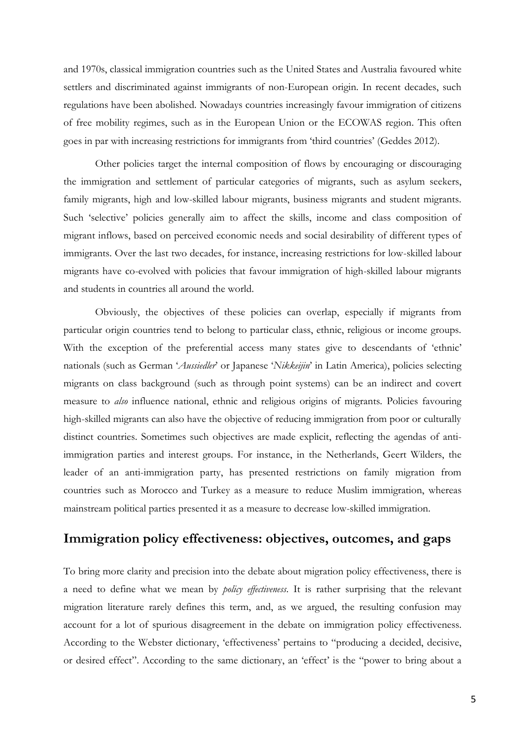and 1970s, classical immigration countries such as the United States and Australia favoured white settlers and discriminated against immigrants of non-European origin. In recent decades, such regulations have been abolished. Nowadays countries increasingly favour immigration of citizens of free mobility regimes, such as in the European Union or the ECOWAS region. This often goes in par with increasing restrictions for immigrants from 'third countries' (Geddes 2012).

Other policies target the internal composition of flows by encouraging or discouraging the immigration and settlement of particular categories of migrants, such as asylum seekers, family migrants, high and low-skilled labour migrants, business migrants and student migrants. Such 'selective' policies generally aim to affect the skills, income and class composition of migrant inflows, based on perceived economic needs and social desirability of different types of immigrants. Over the last two decades, for instance, increasing restrictions for low-skilled labour migrants have co-evolved with policies that favour immigration of high-skilled labour migrants and students in countries all around the world.

Obviously, the objectives of these policies can overlap, especially if migrants from particular origin countries tend to belong to particular class, ethnic, religious or income groups. With the exception of the preferential access many states give to descendants of 'ethnic' nationals (such as German '*Aussiedler*' or Japanese '*Nikkeijin*' in Latin America), policies selecting migrants on class background (such as through point systems) can be an indirect and covert measure to *also* influence national, ethnic and religious origins of migrants. Policies favouring high-skilled migrants can also have the objective of reducing immigration from poor or culturally distinct countries. Sometimes such objectives are made explicit, reflecting the agendas of antiimmigration parties and interest groups. For instance, in the Netherlands, Geert Wilders, the leader of an anti-immigration party, has presented restrictions on family migration from countries such as Morocco and Turkey as a measure to reduce Muslim immigration, whereas mainstream political parties presented it as a measure to decrease low-skilled immigration.

# **Immigration policy effectiveness: objectives, outcomes, and gaps**

To bring more clarity and precision into the debate about migration policy effectiveness, there is a need to define what we mean by *policy effectiveness*. It is rather surprising that the relevant migration literature rarely defines this term, and, as we argued, the resulting confusion may account for a lot of spurious disagreement in the debate on immigration policy effectiveness. According to the Webster dictionary, 'effectiveness' pertains to "producing a decided, decisive, or desired effect". According to the same dictionary, an 'effect' is the "power to bring about a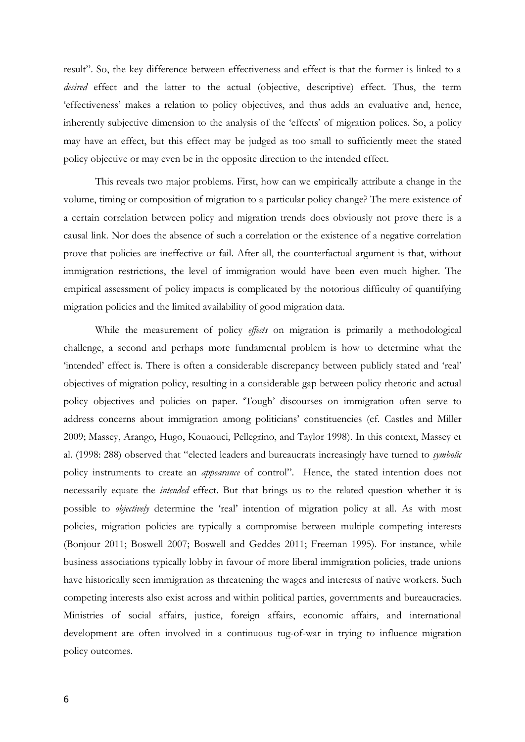result". So, the key difference between effectiveness and effect is that the former is linked to a *desired* effect and the latter to the actual (objective, descriptive) effect. Thus, the term 'effectiveness' makes a relation to policy objectives, and thus adds an evaluative and, hence, inherently subjective dimension to the analysis of the 'effects' of migration polices. So, a policy may have an effect, but this effect may be judged as too small to sufficiently meet the stated policy objective or may even be in the opposite direction to the intended effect.

This reveals two major problems. First, how can we empirically attribute a change in the volume, timing or composition of migration to a particular policy change? The mere existence of a certain correlation between policy and migration trends does obviously not prove there is a causal link. Nor does the absence of such a correlation or the existence of a negative correlation prove that policies are ineffective or fail. After all, the counterfactual argument is that, without immigration restrictions, the level of immigration would have been even much higher. The empirical assessment of policy impacts is complicated by the notorious difficulty of quantifying migration policies and the limited availability of good migration data.

While the measurement of policy *effects* on migration is primarily a methodological challenge, a second and perhaps more fundamental problem is how to determine what the 'intended' effect is. There is often a considerable discrepancy between publicly stated and 'real' objectives of migration policy, resulting in a considerable gap between policy rhetoric and actual policy objectives and policies on paper. 'Tough' discourses on immigration often serve to address concerns about immigration among politicians' constituencies (cf. [Castles and Miller](#page-23-4)  [2009;](#page-23-4) [Massey, Arango, Hugo, Kouaouci, Pellegrino, and Taylor 1998\)](#page-24-8). In this context, Massey et al. [\(1998: 288\)](#page-24-8) observed that "elected leaders and bureaucrats increasingly have turned to *symbolic* policy instruments to create an *appearance* of control". Hence, the stated intention does not necessarily equate the *intended* effect. But that brings us to the related question whether it is possible to *objectively* determine the 'real' intention of migration policy at all. As with most policies, migration policies are typically a compromise between multiple competing interests [\(Bonjour 2011;](#page-23-6) [Boswell 2007;](#page-23-12) [Boswell and Geddes 2011;](#page-23-13) [Freeman 1995\)](#page-23-14). For instance, while business associations typically lobby in favour of more liberal immigration policies, trade unions have historically seen immigration as threatening the wages and interests of native workers. Such competing interests also exist across and within political parties, governments and bureaucracies. Ministries of social affairs, justice, foreign affairs, economic affairs, and international development are often involved in a continuous tug-of-war in trying to influence migration policy outcomes.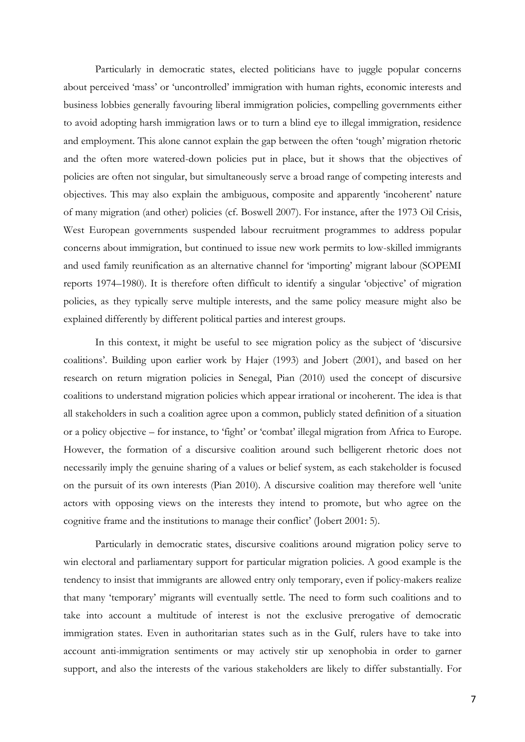Particularly in democratic states, elected politicians have to juggle popular concerns about perceived 'mass' or 'uncontrolled' immigration with human rights, economic interests and business lobbies generally favouring liberal immigration policies, compelling governments either to avoid adopting harsh immigration laws or to turn a blind eye to illegal immigration, residence and employment. This alone cannot explain the gap between the often 'tough' migration rhetoric and the often more watered-down policies put in place, but it shows that the objectives of policies are often not singular, but simultaneously serve a broad range of competing interests and objectives. This may also explain the ambiguous, composite and apparently 'incoherent' nature of many migration (and other) policies [\(cf. Boswell 2007\)](#page-23-12). For instance, after the 1973 Oil Crisis, West European governments suspended labour recruitment programmes to address popular concerns about immigration, but continued to issue new work permits to low-skilled immigrants and used family reunification as an alternative channel for 'importing' migrant labour (SOPEMI reports 1974–1980). It is therefore often difficult to identify a singular 'objective' of migration policies, as they typically serve multiple interests, and the same policy measure might also be explained differently by different political parties and interest groups.

In this context, it might be useful to see migration policy as the subject of 'discursive coalitions'. Building upon earlier work by Hajer [\(1993\)](#page-24-9) and Jobert [\(2001\)](#page-24-10), and based on her research on return migration policies in Senegal, Pian [\(2010\)](#page-24-11) used the concept of discursive coalitions to understand migration policies which appear irrational or incoherent. The idea is that all stakeholders in such a coalition agree upon a common, publicly stated definition of a situation or a policy objective – for instance, to 'fight' or 'combat' illegal migration from Africa to Europe. However, the formation of a discursive coalition around such belligerent rhetoric does not necessarily imply the genuine sharing of a values or belief system, as each stakeholder is focused on the pursuit of its own interests [\(Pian 2010\)](#page-24-11). A discursive coalition may therefore well 'unite actors with opposing views on the interests they intend to promote, but who agree on the cognitive frame and the institutions to manage their conflict' [\(Jobert 2001: 5\)](#page-24-10).

Particularly in democratic states, discursive coalitions around migration policy serve to win electoral and parliamentary support for particular migration policies. A good example is the tendency to insist that immigrants are allowed entry only temporary, even if policy-makers realize that many 'temporary' migrants will eventually settle. The need to form such coalitions and to take into account a multitude of interest is not the exclusive prerogative of democratic immigration states. Even in authoritarian states such as in the Gulf, rulers have to take into account anti-immigration sentiments or may actively stir up xenophobia in order to garner support, and also the interests of the various stakeholders are likely to differ substantially. For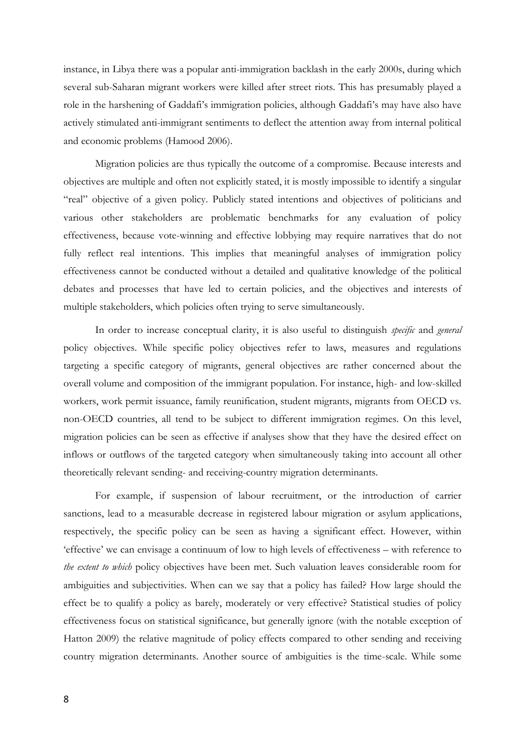instance, in Libya there was a popular anti-immigration backlash in the early 2000s, during which several sub-Saharan migrant workers were killed after street riots. This has presumably played a role in the harshening of Gaddafi's immigration policies, although Gaddafi's may have also have actively stimulated anti-immigrant sentiments to deflect the attention away from internal political and economic problems [\(Hamood 2006\)](#page-24-12).

Migration policies are thus typically the outcome of a compromise. Because interests and objectives are multiple and often not explicitly stated, it is mostly impossible to identify a singular "real" objective of a given policy. Publicly stated intentions and objectives of politicians and various other stakeholders are problematic benchmarks for any evaluation of policy effectiveness, because vote-winning and effective lobbying may require narratives that do not fully reflect real intentions. This implies that meaningful analyses of immigration policy effectiveness cannot be conducted without a detailed and qualitative knowledge of the political debates and processes that have led to certain policies, and the objectives and interests of multiple stakeholders, which policies often trying to serve simultaneously.

In order to increase conceptual clarity, it is also useful to distinguish *specific* and *general*  policy objectives. While specific policy objectives refer to laws, measures and regulations targeting a specific category of migrants, general objectives are rather concerned about the overall volume and composition of the immigrant population. For instance, high- and low-skilled workers, work permit issuance, family reunification, student migrants, migrants from OECD vs. non-OECD countries, all tend to be subject to different immigration regimes. On this level, migration policies can be seen as effective if analyses show that they have the desired effect on inflows or outflows of the targeted category when simultaneously taking into account all other theoretically relevant sending- and receiving-country migration determinants.

For example, if suspension of labour recruitment, or the introduction of carrier sanctions, lead to a measurable decrease in registered labour migration or asylum applications, respectively, the specific policy can be seen as having a significant effect. However, within 'effective' we can envisage a continuum of low to high levels of effectiveness – with reference to *the extent to which* policy objectives have been met. Such valuation leaves considerable room for ambiguities and subjectivities. When can we say that a policy has failed? How large should the effect be to qualify a policy as barely, moderately or very effective? Statistical studies of policy effectiveness focus on statistical significance, but generally ignore [\(with the notable exception of](#page-24-13)  [Hatton 2009\)](#page-24-13) the relative magnitude of policy effects compared to other sending and receiving country migration determinants. Another source of ambiguities is the time-scale. While some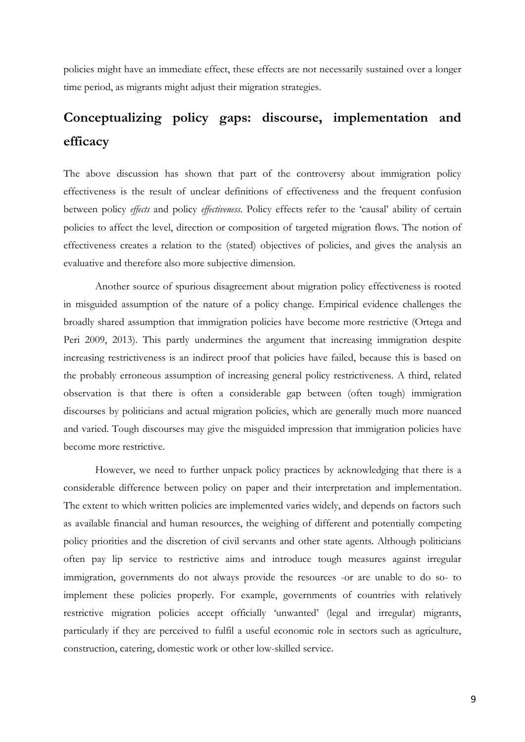policies might have an immediate effect, these effects are not necessarily sustained over a longer time period, as migrants might adjust their migration strategies.

# **Conceptualizing policy gaps: discourse, implementation and efficacy**

The above discussion has shown that part of the controversy about immigration policy effectiveness is the result of unclear definitions of effectiveness and the frequent confusion between policy *effects* and policy *effectiveness*. Policy effects refer to the 'causal' ability of certain policies to affect the level, direction or composition of targeted migration flows. The notion of effectiveness creates a relation to the (stated) objectives of policies, and gives the analysis an evaluative and therefore also more subjective dimension.

Another source of spurious disagreement about migration policy effectiveness is rooted in misguided assumption of the nature of a policy change. Empirical evidence challenges the broadly shared assumption that immigration policies have become more restrictive [\(Ortega and](#page-24-14)  [Peri 2009,](#page-24-14) 2013). This partly undermines the argument that increasing immigration despite increasing restrictiveness is an indirect proof that policies have failed, because this is based on the probably erroneous assumption of increasing general policy restrictiveness. A third, related observation is that there is often a considerable gap between (often tough) immigration discourses by politicians and actual migration policies, which are generally much more nuanced and varied. Tough discourses may give the misguided impression that immigration policies have become more restrictive.

However, we need to further unpack policy practices by acknowledging that there is a considerable difference between policy on paper and their interpretation and implementation. The extent to which written policies are implemented varies widely, and depends on factors such as available financial and human resources, the weighing of different and potentially competing policy priorities and the discretion of civil servants and other state agents. Although politicians often pay lip service to restrictive aims and introduce tough measures against irregular immigration, governments do not always provide the resources -or are unable to do so- to implement these policies properly. For example, governments of countries with relatively restrictive migration policies accept officially 'unwanted' (legal and irregular) migrants, particularly if they are perceived to fulfil a useful economic role in sectors such as agriculture, construction, catering, domestic work or other low-skilled service.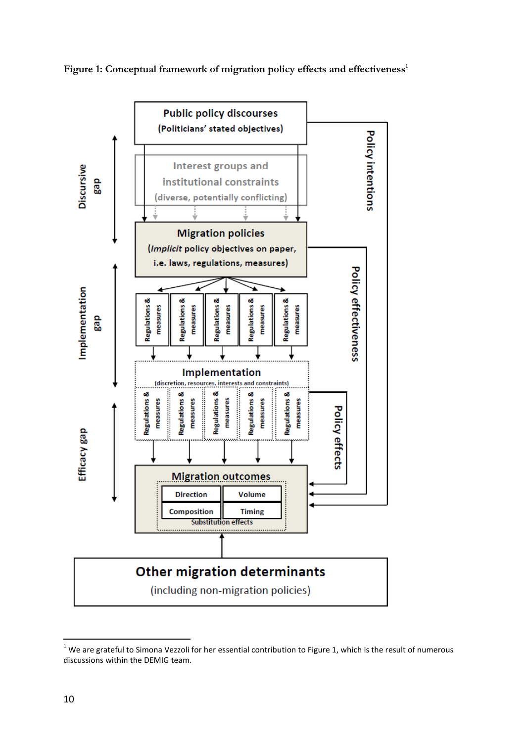



<sup>&</sup>lt;u>.</u>  $1$  We are grateful to Simona Vezzoli for her essential contribution to Figure 1, which is the result of numerous discussions within the DEMIG team.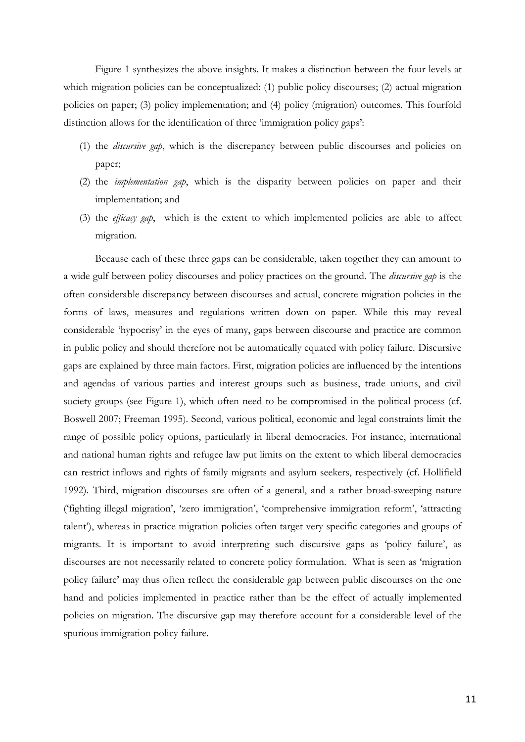Figure 1 synthesizes the above insights. It makes a distinction between the four levels at which migration policies can be conceptualized: (1) public policy discourses; (2) actual migration policies on paper; (3) policy implementation; and (4) policy (migration) outcomes. This fourfold distinction allows for the identification of three 'immigration policy gaps':

- (1) the *discursive gap*, which is the discrepancy between public discourses and policies on paper;
- (2) the *implementation gap*, which is the disparity between policies on paper and their implementation; and
- (3) the *efficacy gap*, which is the extent to which implemented policies are able to affect migration.

Because each of these three gaps can be considerable, taken together they can amount to a wide gulf between policy discourses and policy practices on the ground. The *discursive gap* is the often considerable discrepancy between discourses and actual, concrete migration policies in the forms of laws, measures and regulations written down on paper. While this may reveal considerable 'hypocrisy' in the eyes of many, gaps between discourse and practice are common in public policy and should therefore not be automatically equated with policy failure. Discursive gaps are explained by three main factors. First, migration policies are influenced by the intentions and agendas of various parties and interest groups such as business, trade unions, and civil society groups (see Figure 1), which often need to be compromised in the political process (cf. [Boswell 2007;](#page-23-12) [Freeman 1995\)](#page-23-14). Second, various political, economic and legal constraints limit the range of possible policy options, particularly in liberal democracies. For instance, international and national human rights and refugee law put limits on the extent to which liberal democracies can restrict inflows and rights of family migrants and asylum seekers, respectively [\(cf. Hollifield](#page-24-2)  [1992\)](#page-24-2). Third, migration discourses are often of a general, and a rather broad-sweeping nature ('fighting illegal migration', 'zero immigration', 'comprehensive immigration reform', 'attracting talent'), whereas in practice migration policies often target very specific categories and groups of migrants. It is important to avoid interpreting such discursive gaps as 'policy failure', as discourses are not necessarily related to concrete policy formulation. What is seen as 'migration policy failure' may thus often reflect the considerable gap between public discourses on the one hand and policies implemented in practice rather than be the effect of actually implemented policies on migration. The discursive gap may therefore account for a considerable level of the spurious immigration policy failure.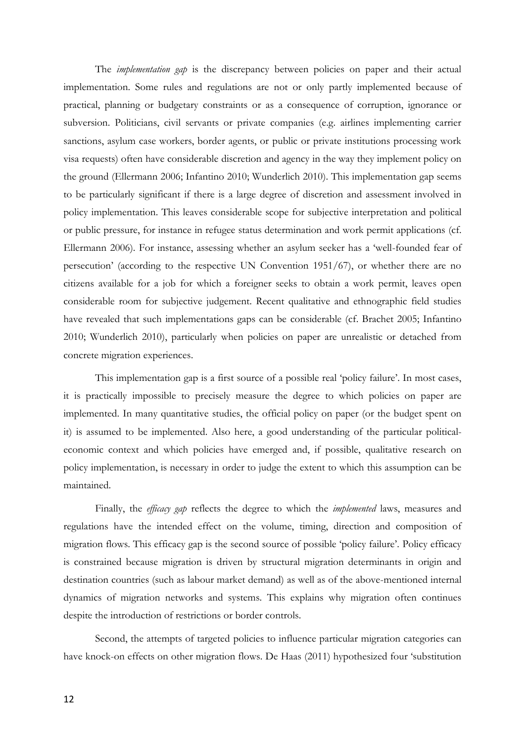The *implementation gap* is the discrepancy between policies on paper and their actual implementation. Some rules and regulations are not or only partly implemented because of practical, planning or budgetary constraints or as a consequence of corruption, ignorance or subversion. Politicians, civil servants or private companies (e.g. airlines implementing carrier sanctions, asylum case workers, border agents, or public or private institutions processing work visa requests) often have considerable discretion and agency in the way they implement policy on the ground [\(Ellermann 2006;](#page-23-15) [Infantino 2010;](#page-24-15) [Wunderlich 2010\)](#page-25-2). This implementation gap seems to be particularly significant if there is a large degree of discretion and assessment involved in policy implementation. This leaves considerable scope for subjective interpretation and political or public pressure, for instance in refugee status determination and work permit applications [\(cf.](#page-23-15)  [Ellermann 2006\)](#page-23-15). For instance, assessing whether an asylum seeker has a 'well-founded fear of persecution' (according to the respective UN Convention 1951/67), or whether there are no citizens available for a job for which a foreigner seeks to obtain a work permit, leaves open considerable room for subjective judgement. Recent qualitative and ethnographic field studies have revealed that such implementations gaps can be considerable (cf. [Brachet 2005;](#page-23-16) [Infantino](#page-24-15)  [2010;](#page-24-15) [Wunderlich 2010\)](#page-25-2), particularly when policies on paper are unrealistic or detached from concrete migration experiences.

This implementation gap is a first source of a possible real 'policy failure'. In most cases, it is practically impossible to precisely measure the degree to which policies on paper are implemented. In many quantitative studies, the official policy on paper (or the budget spent on it) is assumed to be implemented. Also here, a good understanding of the particular politicaleconomic context and which policies have emerged and, if possible, qualitative research on policy implementation, is necessary in order to judge the extent to which this assumption can be maintained.

Finally, the *efficacy gap* reflects the degree to which the *implemented* laws, measures and regulations have the intended effect on the volume, timing, direction and composition of migration flows. This efficacy gap is the second source of possible 'policy failure'. Policy efficacy is constrained because migration is driven by structural migration determinants in origin and destination countries (such as labour market demand) as well as of the above-mentioned internal dynamics of migration networks and systems. This explains why migration often continues despite the introduction of restrictions or border controls.

Second, the attempts of targeted policies to influence particular migration categories can have knock-on effects on other migration flows. De Haas [\(2011\)](#page-23-17) hypothesized four 'substitution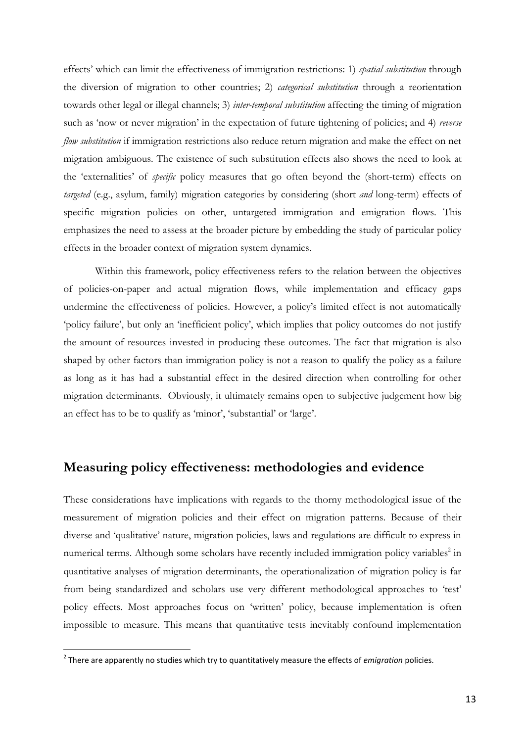effects' which can limit the effectiveness of immigration restrictions: 1) *spatial substitution* through the diversion of migration to other countries; 2) *categorical substitution* through a reorientation towards other legal or illegal channels; 3) *inter-temporal substitution* affecting the timing of migration such as 'now or never migration' in the expectation of future tightening of policies; and 4) *reverse flow substitution* if immigration restrictions also reduce return migration and make the effect on net migration ambiguous. The existence of such substitution effects also shows the need to look at the 'externalities' of *specific* policy measures that go often beyond the (short-term) effects on *targeted* (e.g., asylum, family) migration categories by considering (short *and* long-term) effects of specific migration policies on other, untargeted immigration and emigration flows. This emphasizes the need to assess at the broader picture by embedding the study of particular policy effects in the broader context of migration system dynamics.

Within this framework, policy effectiveness refers to the relation between the objectives of policies-on-paper and actual migration flows, while implementation and efficacy gaps undermine the effectiveness of policies. However, a policy's limited effect is not automatically 'policy failure', but only an 'inefficient policy', which implies that policy outcomes do not justify the amount of resources invested in producing these outcomes. The fact that migration is also shaped by other factors than immigration policy is not a reason to qualify the policy as a failure as long as it has had a substantial effect in the desired direction when controlling for other migration determinants. Obviously, it ultimately remains open to subjective judgement how big an effect has to be to qualify as 'minor', 'substantial' or 'large'.

# **Measuring policy effectiveness: methodologies and evidence**

These considerations have implications with regards to the thorny methodological issue of the measurement of migration policies and their effect on migration patterns. Because of their diverse and 'qualitative' nature, migration policies, laws and regulations are difficult to express in numerical terms. Although some scholars have recently included immigration policy variables<sup>2</sup> in quantitative analyses of migration determinants, the operationalization of migration policy is far from being standardized and scholars use very different methodological approaches to 'test' policy effects. Most approaches focus on 'written' policy, because implementation is often impossible to measure. This means that quantitative tests inevitably confound implementation

 2 There are apparently no studies which try to quantitatively measure the effects of *emigration* policies.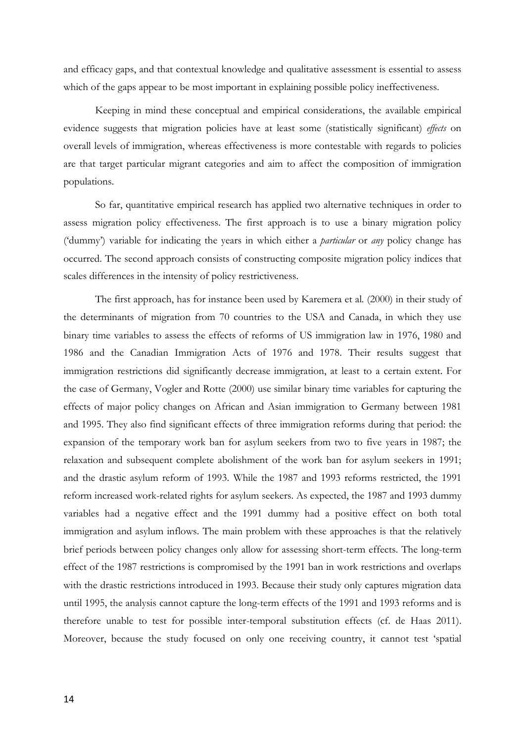and efficacy gaps, and that contextual knowledge and qualitative assessment is essential to assess which of the gaps appear to be most important in explaining possible policy ineffectiveness.

Keeping in mind these conceptual and empirical considerations, the available empirical evidence suggests that migration policies have at least some (statistically significant) *effects* on overall levels of immigration, whereas effectiveness is more contestable with regards to policies are that target particular migrant categories and aim to affect the composition of immigration populations.

So far, quantitative empirical research has applied two alternative techniques in order to assess migration policy effectiveness. The first approach is to use a binary migration policy ('dummy') variable for indicating the years in which either a *particular* or *any* policy change has occurred. The second approach consists of constructing composite migration policy indices that scales differences in the intensity of policy restrictiveness.

The first approach, has for instance been used by Karemera et al. [\(2000\)](#page-24-16) in their study of the determinants of migration from 70 countries to the USA and Canada, in which they use binary time variables to assess the effects of reforms of US immigration law in 1976, 1980 and 1986 and the Canadian Immigration Acts of 1976 and 1978. Their results suggest that immigration restrictions did significantly decrease immigration, at least to a certain extent. For the case of Germany, Vogler and Rotte [\(2000\)](#page-25-3) use similar binary time variables for capturing the effects of major policy changes on African and Asian immigration to Germany between 1981 and 1995. They also find significant effects of three immigration reforms during that period: the expansion of the temporary work ban for asylum seekers from two to five years in 1987; the relaxation and subsequent complete abolishment of the work ban for asylum seekers in 1991; and the drastic asylum reform of 1993. While the 1987 and 1993 reforms restricted, the 1991 reform increased work-related rights for asylum seekers. As expected, the 1987 and 1993 dummy variables had a negative effect and the 1991 dummy had a positive effect on both total immigration and asylum inflows. The main problem with these approaches is that the relatively brief periods between policy changes only allow for assessing short-term effects. The long-term effect of the 1987 restrictions is compromised by the 1991 ban in work restrictions and overlaps with the drastic restrictions introduced in 1993. Because their study only captures migration data until 1995, the analysis cannot capture the long-term effects of the 1991 and 1993 reforms and is therefore unable to test for possible inter-temporal substitution effects [\(cf. de Haas 2011\)](#page-23-17). Moreover, because the study focused on only one receiving country, it cannot test 'spatial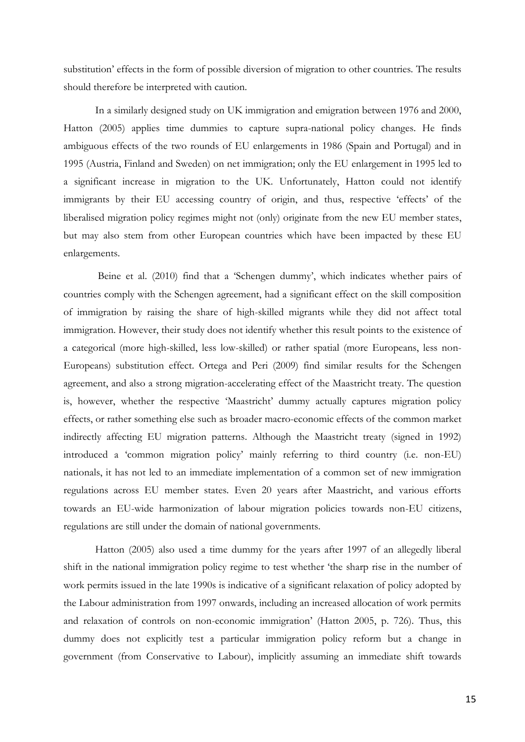substitution' effects in the form of possible diversion of migration to other countries. The results should therefore be interpreted with caution.

In a similarly designed study on UK immigration and emigration between 1976 and 2000, Hatton [\(2005\)](#page-24-3) applies time dummies to capture supra-national policy changes. He finds ambiguous effects of the two rounds of EU enlargements in 1986 (Spain and Portugal) and in 1995 (Austria, Finland and Sweden) on net immigration; only the EU enlargement in 1995 led to a significant increase in migration to the UK. Unfortunately, Hatton could not identify immigrants by their EU accessing country of origin, and thus, respective 'effects' of the liberalised migration policy regimes might not (only) originate from the new EU member states, but may also stem from other European countries which have been impacted by these EU enlargements.

Beine et al. (2010) find that a 'Schengen dummy', which indicates whether pairs of countries comply with the Schengen agreement, had a significant effect on the skill composition of immigration by raising the share of high-skilled migrants while they did not affect total immigration. However, their study does not identify whether this result points to the existence of a categorical (more high-skilled, less low-skilled) or rather spatial (more Europeans, less non-Europeans) substitution effect. Ortega and Peri (2009) find similar results for the Schengen agreement, and also a strong migration-accelerating effect of the Maastricht treaty. The question is, however, whether the respective 'Maastricht' dummy actually captures migration policy effects, or rather something else such as broader macro-economic effects of the common market indirectly affecting EU migration patterns. Although the Maastricht treaty (signed in 1992) introduced a 'common migration policy' mainly referring to third country (i.e. non-EU) nationals, it has not led to an immediate implementation of a common set of new immigration regulations across EU member states. Even 20 years after Maastricht, and various efforts towards an EU-wide harmonization of labour migration policies towards non-EU citizens, regulations are still under the domain of national governments.

Hatton (2005) also used a time dummy for the years after 1997 of an allegedly liberal shift in the national immigration policy regime to test whether 'the sharp rise in the number of work permits issued in the late 1990s is indicative of a significant relaxation of policy adopted by the Labour administration from 1997 onwards, including an increased allocation of work permits and relaxation of controls on non-economic immigration' (Hatton 2005, p. 726). Thus, this dummy does not explicitly test a particular immigration policy reform but a change in government (from Conservative to Labour), implicitly assuming an immediate shift towards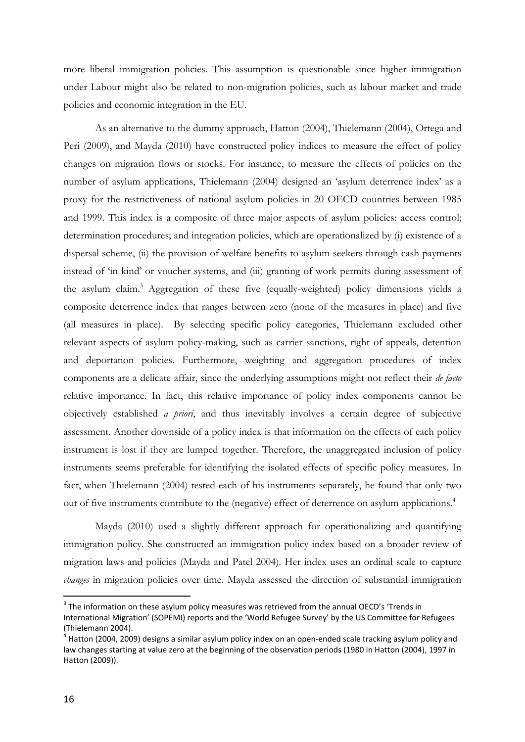more liberal immigration policies. This assumption is questionable since higher immigration under Labour might also be related to non-migration policies, such as labour market and trade policies and economic integration in the EU.

As an alternative to the dummy approach, Hatton [\(2004\)](#page-24-17), Thielemann [\(2004\)](#page-25-4), Ortega and Peri [\(2009\)](#page-24-14), and Mayda [\(2010\)](#page-24-4) have constructed policy indices to measure the effect of policy changes on migration flows or stocks. For instance, to measure the effects of policies on the number of asylum applications, Thielemann (2004) designed an 'asylum deterrence index' as a proxy for the restrictiveness of national asylum policies in 20 OECD countries between 1985 and 1999. This index is a composite of three major aspects of asylum policies: access control; determination procedures; and integration policies, which are operationalized by (i) existence of a dispersal scheme, (ii) the provision of welfare benefits to asylum seekers through cash payments instead of 'in kind' or voucher systems, and (iii) granting of work permits during assessment of the asylum claim.<sup>3</sup> Aggregation of these five (equally-weighted) policy dimensions yields a composite deterrence index that ranges between zero (none of the measures in place) and five (all measures in place). By selecting specific policy categories, Thielemann excluded other relevant aspects of asylum policy-making, such as carrier sanctions, right of appeals, detention and deportation policies. Furthermore, weighting and aggregation procedures of index components are a delicate affair, since the underlying assumptions might not reflect their *de facto* relative importance. In fact, this relative importance of policy index components cannot be objectively established *a priori*, and thus inevitably involves a certain degree of subjective assessment. Another downside of a policy index is that information on the effects of each policy instrument is lost if they are lumped together. Therefore, the unaggregated inclusion of policy instruments seems preferable for identifying the isolated effects of specific policy measures. In fact, when Thielemann (2004) tested each of his instruments separately, he found that only two out of five instruments contribute to the (negative) effect of deterrence on asylum applications. 4

Mayda (2010) used a slightly different approach for operationalizing and quantifying immigration policy. She constructed an immigration policy index based on a broader review of migration laws and policies (Mayda and Patel 2004). Her index uses an ordinal scale to capture *changes* in migration policies over time. Mayda assessed the direction of substantial immigration

<u>.</u>

 $3$  The information on these asylum policy measures was retrieved from the annual OECD's 'Trends in International Migration' (SOPEMI) reports and the 'World Refugee Survey' by the US Committee for Refugees (Thielemann 2004).

 $^4$  Hatton (2004, 2009) designs a similar asylum policy index on an open-ended scale tracking asylum policy and law changes starting at value zero at the beginning of the observation periods (1980 in Hatton (2004), 1997 in Hatton (2009)).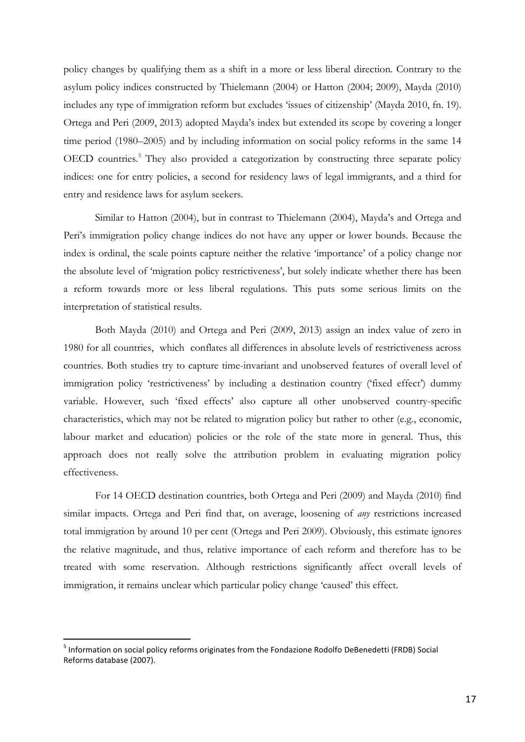policy changes by qualifying them as a shift in a more or less liberal direction. Contrary to the asylum policy indices constructed by Thielemann (2004) or Hatton (2004; 2009), Mayda (2010) includes any type of immigration reform but excludes 'issues of citizenship' (Mayda 2010, fn. 19). Ortega and Peri (2009, 2013) adopted Mayda's index but extended its scope by covering a longer time period (1980–2005) and by including information on social policy reforms in the same 14 OECD countries.<sup>5</sup> They also provided a categorization by constructing three separate policy indices: one for entry policies, a second for residency laws of legal immigrants, and a third for entry and residence laws for asylum seekers.

Similar to Hatton (2004), but in contrast to Thielemann (2004), Mayda's and Ortega and Peri's immigration policy change indices do not have any upper or lower bounds. Because the index is ordinal, the scale points capture neither the relative 'importance' of a policy change nor the absolute level of 'migration policy restrictiveness', but solely indicate whether there has been a reform towards more or less liberal regulations. This puts some serious limits on the interpretation of statistical results.

Both Mayda (2010) and Ortega and Peri (2009, 2013) assign an index value of zero in 1980 for all countries, which conflates all differences in absolute levels of restrictiveness across countries. Both studies try to capture time-invariant and unobserved features of overall level of immigration policy 'restrictiveness' by including a destination country ('fixed effect') dummy variable. However, such 'fixed effects' also capture all other unobserved country-specific characteristics, which may not be related to migration policy but rather to other (e.g., economic, labour market and education) policies or the role of the state more in general. Thus, this approach does not really solve the attribution problem in evaluating migration policy effectiveness.

For 14 OECD destination countries, both Ortega and Peri (2009) and Mayda (2010) find similar impacts. Ortega and Peri find that, on average, loosening of *any* restrictions increased total immigration by around 10 per cent (Ortega and Peri 2009). Obviously, this estimate ignores the relative magnitude, and thus, relative importance of each reform and therefore has to be treated with some reservation. Although restrictions significantly affect overall levels of immigration, it remains unclear which particular policy change 'caused' this effect.

<u>.</u>

<sup>&</sup>lt;sup>5</sup> Information on social policy reforms originates from the Fondazione Rodolfo DeBenedetti (FRDB) Social Reforms database (2007).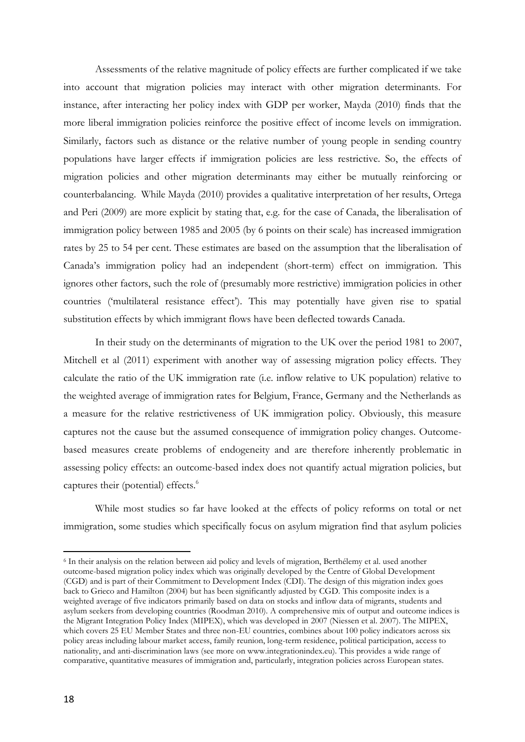Assessments of the relative magnitude of policy effects are further complicated if we take into account that migration policies may interact with other migration determinants. For instance, after interacting her policy index with GDP per worker, Mayda (2010) finds that the more liberal immigration policies reinforce the positive effect of income levels on immigration. Similarly, factors such as distance or the relative number of young people in sending country populations have larger effects if immigration policies are less restrictive. So, the effects of migration policies and other migration determinants may either be mutually reinforcing or counterbalancing. While Mayda (2010) provides a qualitative interpretation of her results, Ortega and Peri (2009) are more explicit by stating that, e.g. for the case of Canada, the liberalisation of immigration policy between 1985 and 2005 (by 6 points on their scale) has increased immigration rates by 25 to 54 per cent. These estimates are based on the assumption that the liberalisation of Canada's immigration policy had an independent (short-term) effect on immigration. This ignores other factors, such the role of (presumably more restrictive) immigration policies in other countries ('multilateral resistance effect'). This may potentially have given rise to spatial substitution effects by which immigrant flows have been deflected towards Canada.

In their study on the determinants of migration to the UK over the period 1981 to 2007, Mitchell et al (2011) experiment with another way of assessing migration policy effects. They calculate the ratio of the UK immigration rate (i.e. inflow relative to UK population) relative to the weighted average of immigration rates for Belgium, France, Germany and the Netherlands as a measure for the relative restrictiveness of UK immigration policy. Obviously, this measure captures not the cause but the assumed consequence of immigration policy changes. Outcomebased measures create problems of endogeneity and are therefore inherently problematic in assessing policy effects: an outcome-based index does not quantify actual migration policies, but captures their (potential) effects.<sup>6</sup>

While most studies so far have looked at the effects of policy reforms on total or net immigration, some studies which specifically focus on asylum migration find that asylum policies

<u>.</u>

<sup>6</sup> In their analysis on the relation between aid policy and levels of migration, Berthélemy et al. used another outcome-based migration policy index which was originally developed by the Centre of Global Development (CGD) and is part of their Commitment to Development Index (CDI). The design of this migration index goes back to Grieco and Hamilton (2004) but has been significantly adjusted by CGD. This composite index is a weighted average of five indicators primarily based on data on stocks and inflow data of migrants, students and asylum seekers from developing countries (Roodman 2010). A comprehensive mix of output and outcome indices is the Migrant Integration Policy Index (MIPEX), which was developed in 2007 (Niessen et al. 2007). The MIPEX, which covers 25 EU Member States and three non-EU countries, combines about 100 policy indicators across six policy areas including labour market access, family reunion, long-term residence, political participation, access to nationality, and anti-discrimination laws (see more on www.integrationindex.eu). This provides a wide range of comparative, quantitative measures of immigration and, particularly, integration policies across European states.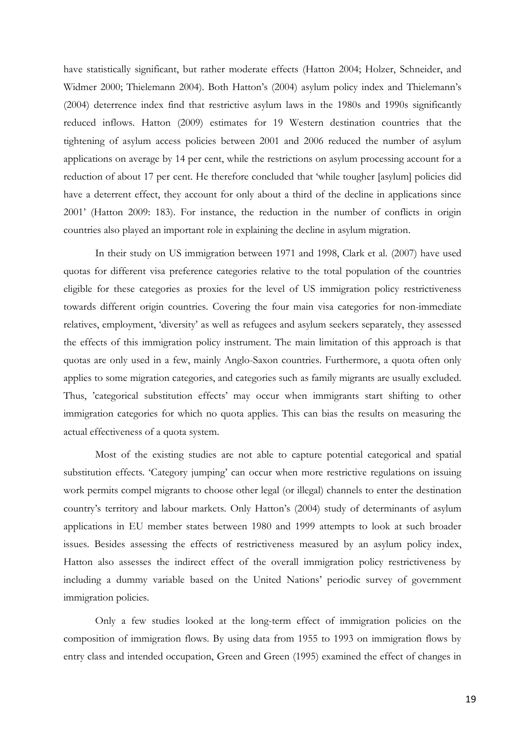have statistically significant, but rather moderate effects [\(Hatton 2004;](#page-24-17) [Holzer, Schneider, and](#page-24-18)  [Widmer 2000;](#page-24-18) [Thielemann 2004\)](#page-25-4). Both Hatton's (2004) asylum policy index and Thielemann's (2004) deterrence index find that restrictive asylum laws in the 1980s and 1990s significantly reduced inflows. Hatton (2009) estimates for 19 Western destination countries that the tightening of asylum access policies between 2001 and 2006 reduced the number of asylum applications on average by 14 per cent, while the restrictions on asylum processing account for a reduction of about 17 per cent. He therefore concluded that 'while tougher [asylum] policies did have a deterrent effect, they account for only about a third of the decline in applications since 2001' [\(Hatton 2009: 183\)](#page-24-13). For instance, the reduction in the number of conflicts in origin countries also played an important role in explaining the decline in asylum migration.

In their study on US immigration between 1971 and 1998, Clark et al. [\(2007\)](#page-23-18) have used quotas for different visa preference categories relative to the total population of the countries eligible for these categories as proxies for the level of US immigration policy restrictiveness towards different origin countries. Covering the four main visa categories for non-immediate relatives, employment, 'diversity' as well as refugees and asylum seekers separately, they assessed the effects of this immigration policy instrument. The main limitation of this approach is that quotas are only used in a few, mainly Anglo-Saxon countries. Furthermore, a quota often only applies to some migration categories, and categories such as family migrants are usually excluded. Thus, 'categorical substitution effects' may occur when immigrants start shifting to other immigration categories for which no quota applies. This can bias the results on measuring the actual effectiveness of a quota system.

Most of the existing studies are not able to capture potential categorical and spatial substitution effects. 'Category jumping' can occur when more restrictive regulations on issuing work permits compel migrants to choose other legal (or illegal) channels to enter the destination country's territory and labour markets. Only Hatton's (2004) study of determinants of asylum applications in EU member states between 1980 and 1999 attempts to look at such broader issues. Besides assessing the effects of restrictiveness measured by an asylum policy index, Hatton also assesses the indirect effect of the overall immigration policy restrictiveness by including a dummy variable based on the United Nations' periodic survey of government immigration policies.

Only a few studies looked at the long-term effect of immigration policies on the composition of immigration flows. By using data from 1955 to 1993 on immigration flows by entry class and intended occupation, [Green and Green \(1995\)](#page-24-19) examined the effect of changes in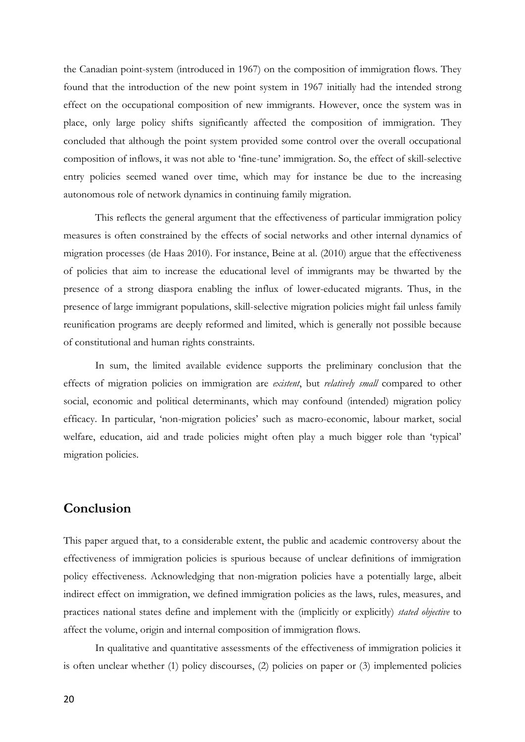the Canadian point-system (introduced in 1967) on the composition of immigration flows. They found that the introduction of the new point system in 1967 initially had the intended strong effect on the occupational composition of new immigrants. However, once the system was in place, only large policy shifts significantly affected the composition of immigration. They concluded that although the point system provided some control over the overall occupational composition of inflows, it was not able to 'fine-tune' immigration. So, the effect of skill-selective entry policies seemed waned over time, which may for instance be due to the increasing autonomous role of network dynamics in continuing family migration.

This reflects the general argument that the effectiveness of particular immigration policy measures is often constrained by the effects of social networks and other internal dynamics of migration processes [\(de Haas 2010\)](#page-23-5). For instance, Beine at al. (2010) argue that the effectiveness of policies that aim to increase the educational level of immigrants may be thwarted by the presence of a strong diaspora enabling the influx of lower-educated migrants. Thus, in the presence of large immigrant populations, skill-selective migration policies might fail unless family reunification programs are deeply reformed and limited, which is generally not possible because of constitutional and human rights constraints.

In sum, the limited available evidence supports the preliminary conclusion that the effects of migration policies on immigration are *existent*, but *relatively small* compared to other social, economic and political determinants, which may confound (intended) migration policy efficacy. In particular, 'non-migration policies' such as macro-economic, labour market, social welfare, education, aid and trade policies might often play a much bigger role than 'typical' migration policies.

## **Conclusion**

This paper argued that, to a considerable extent, the public and academic controversy about the effectiveness of immigration policies is spurious because of unclear definitions of immigration policy effectiveness. Acknowledging that non-migration policies have a potentially large, albeit indirect effect on immigration, we defined immigration policies as the laws, rules, measures, and practices national states define and implement with the (implicitly or explicitly) *stated objective* to affect the volume, origin and internal composition of immigration flows.

In qualitative and quantitative assessments of the effectiveness of immigration policies it is often unclear whether (1) policy discourses, (2) policies on paper or (3) implemented policies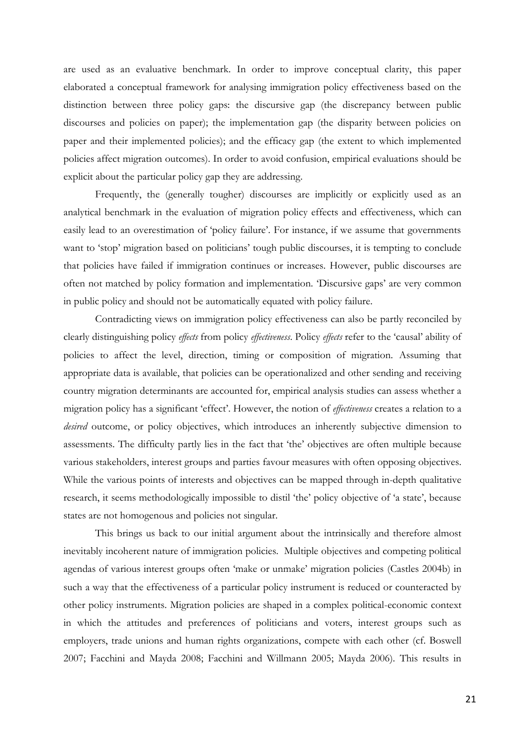are used as an evaluative benchmark. In order to improve conceptual clarity, this paper elaborated a conceptual framework for analysing immigration policy effectiveness based on the distinction between three policy gaps: the discursive gap (the discrepancy between public discourses and policies on paper); the implementation gap (the disparity between policies on paper and their implemented policies); and the efficacy gap (the extent to which implemented policies affect migration outcomes). In order to avoid confusion, empirical evaluations should be explicit about the particular policy gap they are addressing.

Frequently, the (generally tougher) discourses are implicitly or explicitly used as an analytical benchmark in the evaluation of migration policy effects and effectiveness, which can easily lead to an overestimation of 'policy failure'. For instance, if we assume that governments want to 'stop' migration based on politicians' tough public discourses, it is tempting to conclude that policies have failed if immigration continues or increases. However, public discourses are often not matched by policy formation and implementation. 'Discursive gaps' are very common in public policy and should not be automatically equated with policy failure.

Contradicting views on immigration policy effectiveness can also be partly reconciled by clearly distinguishing policy *effects* from policy *effectiveness*. Policy *effects* refer to the 'causal' ability of policies to affect the level, direction, timing or composition of migration. Assuming that appropriate data is available, that policies can be operationalized and other sending and receiving country migration determinants are accounted for, empirical analysis studies can assess whether a migration policy has a significant 'effect'. However, the notion of *effectiveness* creates a relation to a *desired* outcome, or policy objectives, which introduces an inherently subjective dimension to assessments. The difficulty partly lies in the fact that 'the' objectives are often multiple because various stakeholders, interest groups and parties favour measures with often opposing objectives. While the various points of interests and objectives can be mapped through in-depth qualitative research, it seems methodologically impossible to distil 'the' policy objective of 'a state', because states are not homogenous and policies not singular.

This brings us back to our initial argument about the intrinsically and therefore almost inevitably incoherent nature of immigration policies. Multiple objectives and competing political agendas of various interest groups often 'make or unmake' migration policies [\(Castles 2004b\)](#page-23-19) in such a way that the effectiveness of a particular policy instrument is reduced or counteracted by other policy instruments. Migration policies are shaped in a complex political-economic context in which the attitudes and preferences of politicians and voters, interest groups such as employers, trade unions and human rights organizations, compete with each other (cf. [Boswell](#page-23-12)  [2007;](#page-23-12) [Facchini and Mayda 2008;](#page-23-20) [Facchini and Willmann 2005;](#page-23-21) [Mayda 2006\)](#page-24-20). This results in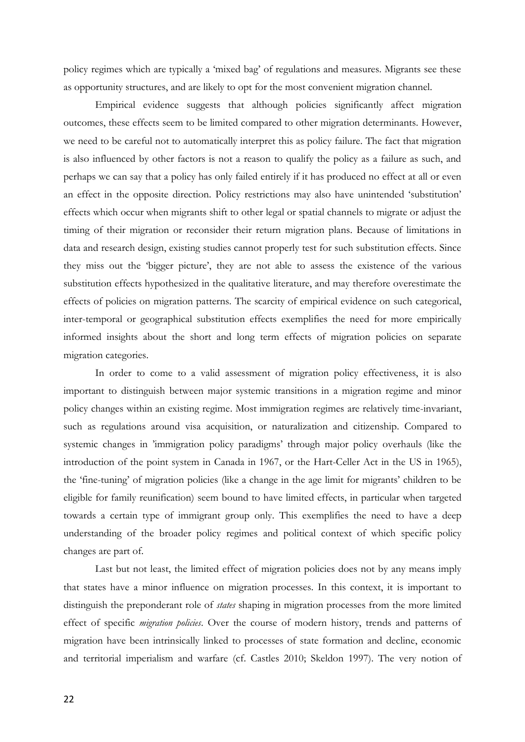policy regimes which are typically a 'mixed bag' of regulations and measures. Migrants see these as opportunity structures, and are likely to opt for the most convenient migration channel.

Empirical evidence suggests that although policies significantly affect migration outcomes, these effects seem to be limited compared to other migration determinants. However, we need to be careful not to automatically interpret this as policy failure. The fact that migration is also influenced by other factors is not a reason to qualify the policy as a failure as such, and perhaps we can say that a policy has only failed entirely if it has produced no effect at all or even an effect in the opposite direction. Policy restrictions may also have unintended 'substitution' effects which occur when migrants shift to other legal or spatial channels to migrate or adjust the timing of their migration or reconsider their return migration plans. Because of limitations in data and research design, existing studies cannot properly test for such substitution effects. Since they miss out the 'bigger picture', they are not able to assess the existence of the various substitution effects hypothesized in the qualitative literature, and may therefore overestimate the effects of policies on migration patterns. The scarcity of empirical evidence on such categorical, inter-temporal or geographical substitution effects exemplifies the need for more empirically informed insights about the short and long term effects of migration policies on separate migration categories.

In order to come to a valid assessment of migration policy effectiveness, it is also important to distinguish between major systemic transitions in a migration regime and minor policy changes within an existing regime. Most immigration regimes are relatively time-invariant, such as regulations around visa acquisition, or naturalization and citizenship. Compared to systemic changes in 'immigration policy paradigms' through major policy overhauls (like the introduction of the point system in Canada in 1967, or the Hart-Celler Act in the US in 1965), the 'fine-tuning' of migration policies (like a change in the age limit for migrants' children to be eligible for family reunification) seem bound to have limited effects, in particular when targeted towards a certain type of immigrant group only. This exemplifies the need to have a deep understanding of the broader policy regimes and political context of which specific policy changes are part of.

Last but not least, the limited effect of migration policies does not by any means imply that states have a minor influence on migration processes. In this context, it is important to distinguish the preponderant role of *states* shaping in migration processes from the more limited effect of specific *migration policies*. Over the course of modern history, trends and patterns of migration have been intrinsically linked to processes of state formation and decline, economic and territorial imperialism and warfare (cf. [Castles 2010;](#page-23-22) [Skeldon 1997\)](#page-25-0). The very notion of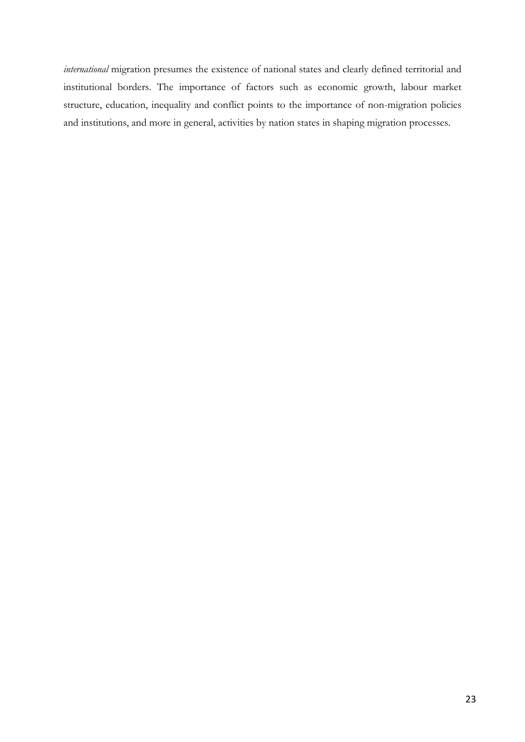*international* migration presumes the existence of national states and clearly defined territorial and institutional borders. The importance of factors such as economic growth, labour market structure, education, inequality and conflict points to the importance of non-migration policies and institutions, and more in general, activities by nation states in shaping migration processes.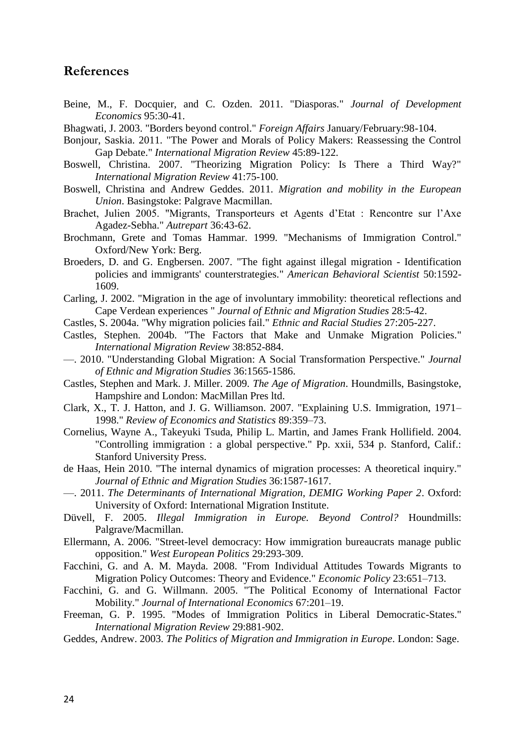## **References**

- <span id="page-23-11"></span>Beine, M., F. Docquier, and C. Ozden. 2011. "Diasporas." *Journal of Development Economics* 95:30-41.
- <span id="page-23-0"></span>Bhagwati, J. 2003. "Borders beyond control." *Foreign Affairs* January/February:98-104.
- <span id="page-23-6"></span>Bonjour, Saskia. 2011. "The Power and Morals of Policy Makers: Reassessing the Control Gap Debate." *International Migration Review* 45:89-122.
- <span id="page-23-12"></span>Boswell, Christina. 2007. "Theorizing Migration Policy: Is There a Third Way?" *International Migration Review* 41:75-100.
- <span id="page-23-13"></span>Boswell, Christina and Andrew Geddes. 2011. *Migration and mobility in the European Union*. Basingstoke: Palgrave Macmillan.
- <span id="page-23-16"></span>Brachet, Julien 2005. "Migrants, Transporteurs et Agents d'Etat : Rencontre sur l'Axe Agadez-Sebha." *Autrepart* 36:43-62.
- <span id="page-23-7"></span>Brochmann, Grete and Tomas Hammar. 1999. "Mechanisms of Immigration Control." Oxford/New York: Berg.
- <span id="page-23-9"></span>Broeders, D. and G. Engbersen. 2007. "The fight against illegal migration - Identification policies and immigrants' counterstrategies." *American Behavioral Scientist* 50:1592- 1609.
- <span id="page-23-10"></span>Carling, J. 2002. "Migration in the age of involuntary immobility: theoretical reflections and Cape Verdean experiences " *Journal of Ethnic and Migration Studies* 28:5-42.
- <span id="page-23-1"></span>Castles, S. 2004a. "Why migration policies fail." *Ethnic and Racial Studies* 27:205-227.
- <span id="page-23-19"></span>Castles, Stephen. 2004b. "The Factors that Make and Unmake Migration Policies." *International Migration Review* 38:852-884.
- <span id="page-23-22"></span>—. 2010. "Understanding Global Migration: A Social Transformation Perspective." *Journal of Ethnic and Migration Studies* 36:1565-1586.
- <span id="page-23-4"></span>Castles, Stephen and Mark. J. Miller. 2009. *The Age of Migration*. Houndmills, Basingstoke, Hampshire and London: MacMillan Pres ltd.
- <span id="page-23-18"></span>Clark, X., T. J. Hatton, and J. G. Williamson. 2007. "Explaining U.S. Immigration, 1971– 1998." *Review of Economics and Statistics* 89:359–73.
- <span id="page-23-2"></span>Cornelius, Wayne A., Takeyuki Tsuda, Philip L. Martin, and James Frank Hollifield. 2004. "Controlling immigration : a global perspective." Pp. xxii, 534 p. Stanford, Calif.: Stanford University Press.
- <span id="page-23-5"></span>de Haas, Hein 2010. "The internal dynamics of migration processes: A theoretical inquiry." *Journal of Ethnic and Migration Studies* 36:1587-1617.
- <span id="page-23-17"></span>—. 2011. *The Determinants of International Migration, DEMIG Working Paper 2*. Oxford: University of Oxford: International Migration Institute.
- <span id="page-23-3"></span>Düvell, F. 2005. *Illegal Immigration in Europe. Beyond Control?* Houndmills: Palgrave/Macmillan.
- <span id="page-23-15"></span>Ellermann, A. 2006. "Street-level democracy: How immigration bureaucrats manage public opposition." *West European Politics* 29:293-309.
- <span id="page-23-20"></span>Facchini, G. and A. M. Mayda. 2008. "From Individual Attitudes Towards Migrants to Migration Policy Outcomes: Theory and Evidence." *Economic Policy* 23:651–713.
- <span id="page-23-21"></span>Facchini, G. and G. Willmann. 2005. "The Political Economy of International Factor Mobility." *Journal of International Economics* 67:201–19.
- <span id="page-23-14"></span>Freeman, G. P. 1995. "Modes of Immigration Politics in Liberal Democratic-States." *International Migration Review* 29:881-902.
- <span id="page-23-8"></span>Geddes, Andrew. 2003. *The Politics of Migration and Immigration in Europe*. London: Sage.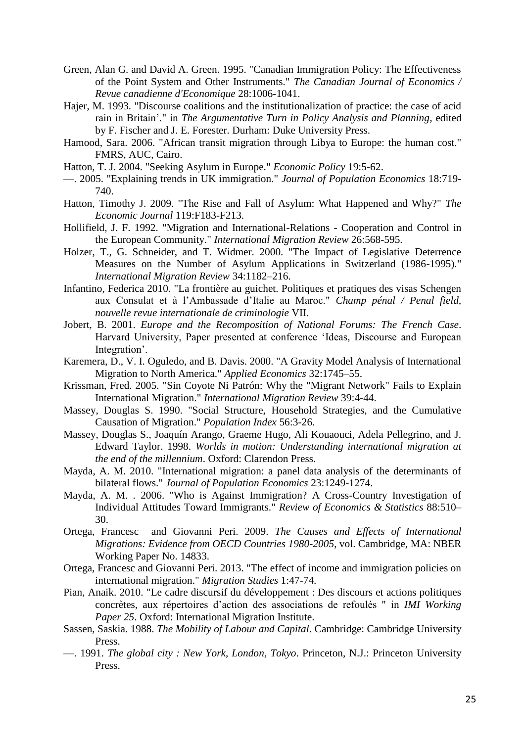- <span id="page-24-19"></span>Green, Alan G. and David A. Green. 1995. "Canadian Immigration Policy: The Effectiveness of the Point System and Other Instruments." *The Canadian Journal of Economics / Revue canadienne d'Economique* 28:1006-1041.
- <span id="page-24-9"></span>Hajer, M. 1993. "Discourse coalitions and the institutionalization of practice: the case of acid rain in Britain'." in *The Argumentative Turn in Policy Analysis and Planning*, edited by F. Fischer and J. E. Forester. Durham: Duke University Press.
- <span id="page-24-12"></span>Hamood, Sara. 2006. "African transit migration through Libya to Europe: the human cost." FMRS, AUC, Cairo.
- <span id="page-24-17"></span>Hatton, T. J. 2004. "Seeking Asylum in Europe." *Economic Policy* 19:5-62.
- <span id="page-24-3"></span>—. 2005. "Explaining trends in UK immigration." *Journal of Population Economics* 18:719- 740.
- <span id="page-24-13"></span>Hatton, Timothy J. 2009. "The Rise and Fall of Asylum: What Happened and Why?" *The Economic Journal* 119:F183-F213.
- <span id="page-24-2"></span>Hollifield, J. F. 1992. "Migration and International-Relations - Cooperation and Control in the European Community." *International Migration Review* 26:568-595.
- <span id="page-24-18"></span>Holzer, T., G. Schneider, and T. Widmer. 2000. "The Impact of Legislative Deterrence Measures on the Number of Asylum Applications in Switzerland (1986-1995)." *International Migration Review* 34:1182–216.
- <span id="page-24-15"></span>Infantino, Federica 2010. "La frontière au guichet. Politiques et pratiques des visas Schengen aux Consulat et à l'Ambassade d'Italie au Maroc." *Champ pénal / Penal field, nouvelle revue internationale de criminologie* VII.
- <span id="page-24-10"></span>Jobert, B. 2001. *Europe and the Recomposition of National Forums: The French Case*. Harvard University, Paper presented at conference 'Ideas, Discourse and European Integration'.
- <span id="page-24-16"></span>Karemera, D., V. I. Oguledo, and B. Davis. 2000. "A Gravity Model Analysis of International Migration to North America." *Applied Economics* 32:1745–55.
- <span id="page-24-0"></span>Krissman, Fred. 2005. "Sin Coyote Ni Patrón: Why the "Migrant Network" Fails to Explain International Migration." *International Migration Review* 39:4-44.
- <span id="page-24-1"></span>Massey, Douglas S. 1990. "Social Structure, Household Strategies, and the Cumulative Causation of Migration." *Population Index* 56:3-26.
- <span id="page-24-8"></span>Massey, Douglas S., Joaquín Arango, Graeme Hugo, Ali Kouaouci, Adela Pellegrino, and J. Edward Taylor. 1998. *Worlds in motion: Understanding international migration at the end of the millennium*. Oxford: Clarendon Press.
- <span id="page-24-4"></span>Mayda, A. M. 2010. "International migration: a panel data analysis of the determinants of bilateral flows." *Journal of Population Economics* 23:1249-1274.
- <span id="page-24-20"></span>Mayda, A. M. . 2006. "Who is Against Immigration? A Cross-Country Investigation of Individual Attitudes Toward Immigrants." *Review of Economics & Statistics* 88:510– 30.
- <span id="page-24-14"></span>Ortega, Francesc and Giovanni Peri. 2009. *The Causes and Effects of International Migrations: Evidence from OECD Countries 1980-2005*, vol. Cambridge, MA: NBER Working Paper No. 14833.
- <span id="page-24-5"></span>Ortega, Francesc and Giovanni Peri. 2013. "The effect of income and immigration policies on international migration." *Migration Studies* 1:47-74.
- <span id="page-24-11"></span>Pian, Anaik. 2010. "Le cadre discursif du développement : Des discours et actions politiques concrètes, aux répertoires d'action des associations de refoulés " in *IMI Working Paper 25*. Oxford: International Migration Institute.
- <span id="page-24-6"></span>Sassen, Saskia. 1988. *The Mobility of Labour and Capital*. Cambridge: Cambridge University Press.
- <span id="page-24-7"></span>—. 1991. *The global city : New York, London, Tokyo*. Princeton, N.J.: Princeton University Press.